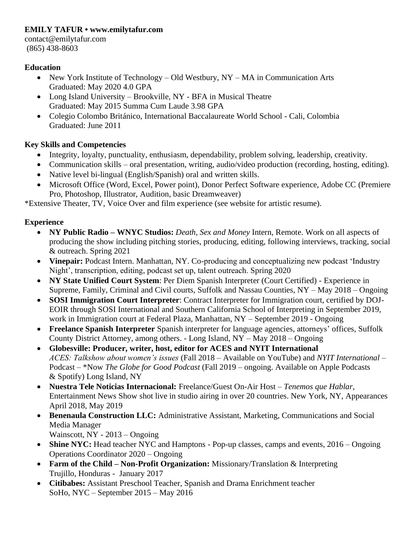### **EMILY TAFUR • www.emilytafur.com**

contact@emilytafur.com (865) 438-8603

### **Education**

- New York Institute of Technology Old Westbury, NY MA in Communication Arts Graduated: May 2020 4.0 GPA
- Long Island University Brookville, NY BFA in Musical Theatre Graduated: May 2015 Summa Cum Laude 3.98 GPA
- Colegio Colombo Británico, International Baccalaureate World School Cali, Colombia Graduated: June 2011

# **Key Skills and Competencies**

- Integrity, loyalty, punctuality, enthusiasm, dependability, problem solving, leadership, creativity.
- Communication skills oral presentation, writing, audio/video production (recording, hosting, editing).
- Native level bi-lingual (English/Spanish) oral and written skills.
- Microsoft Office (Word, Excel, Power point), Donor Perfect Software experience, Adobe CC (Premiere Pro, Photoshop, Illustrator, Audition, basic Dreamweaver)

\*Extensive Theater, TV, Voice Over and film experience (see website for artistic resume).

## **Experience**

- **NY Public Radio – WNYC Studios:** *Death, Sex and Money* Intern, Remote. Work on all aspects of producing the show including pitching stories, producing, editing, following interviews, tracking, social & outreach. Spring 2021
- **Vinepair:** Podcast Intern. Manhattan, NY. Co-producing and conceptualizing new podcast 'Industry' Night', transcription, editing, podcast set up, talent outreach. Spring 2020
- **NY State Unified Court System**: Per Diem Spanish Interpreter (Court Certified) Experience in Supreme, Family, Criminal and Civil courts, Suffolk and Nassau Counties, NY – May 2018 – Ongoing
- **SOSI Immigration Court Interpreter**: Contract Interpreter for Immigration court, certified by DOJ-EOIR through SOSI International and Southern California School of Interpreting in September 2019, work in Immigration court at Federal Plaza, Manhattan, NY – September 2019 - Ongoing
- **Freelance Spanish Interpreter** Spanish interpreter for language agencies, attorneys' offices, Suffolk County District Attorney, among others. - Long Island, NY – May 2018 – Ongoing
- **Globesville: Producer, writer, host, editor for ACES and NYIT International**  *ACES: Talkshow about women's issues* (Fall 2018 – Available on YouTube) and *NYIT International* – Podcast – \*Now *The Globe for Good Podcast* (Fall 2019 – ongoing. Available on Apple Podcasts & Spotify) Long Island, NY
- **Nuestra Tele Noticias Internacional:** Freelance/Guest On-Air Host *Tenemos que Hablar*, Entertainment News Show shot live in studio airing in over 20 countries. New York, NY, Appearances April 2018, May 2019
- **Benenaula Construction LLC:** Administrative Assistant, Marketing, Communications and Social Media Manager
	- Wainscott, NY 2013 Ongoing
- **Shine NYC:** Head teacher NYC and Hamptons Pop-up classes, camps and events, 2016 Ongoing Operations Coordinator 2020 – Ongoing
- **Farm of the Child – Non-Profit Organization:** Missionary/Translation & Interpreting Trujillo, Honduras - January 2017
- **Citibabes:** Assistant Preschool Teacher, Spanish and Drama Enrichment teacher SoHo, NYC – September 2015 – May 2016